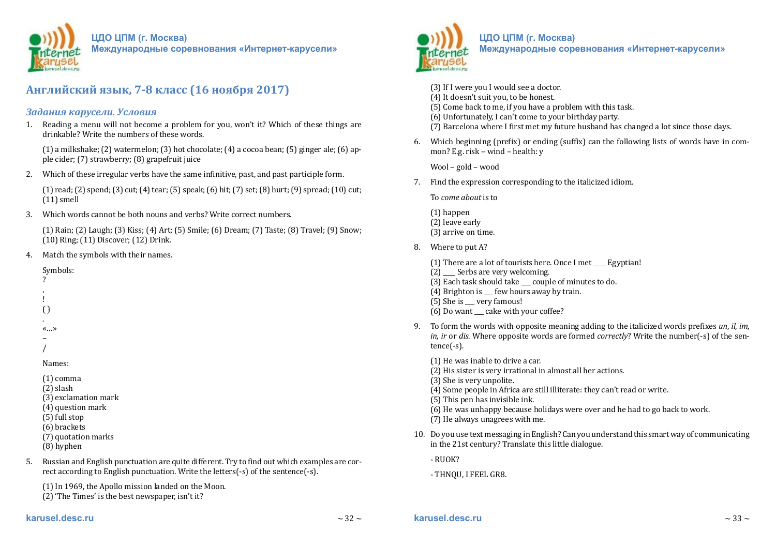

**ЦДО ЦПМ (г. Москва)**

**Международные соревнования «Интернет-карусели»**

# **Английский язык, 7-8 класс (16 ноября 2017)**

## *Задания карусели. Условия*

1. Reading a menu will not become a problem for you, won't it? Which of these things are drinkable? Write the numbers of these words.

(1) a milkshake; (2) watermelon; (3) hot chocolate; (4) a cocoa bean; (5) ginger ale; (6) apple cider; (7) strawberry; (8) grapefruit juice

2. Which of these irregular verbs have the same infinitive, past, and past participle form.

(1) read; (2) spend; (3) cut; (4) tear; (5) speak; (6) hit; (7) set; (8) hurt; (9) spread; (10) cut; (11) smell

3. Which words cannot be both nouns and verbs? Write correct numbers.

(1) Rain; (2) Laugh; (3) Kiss; (4) Art; (5) Smile; (6) Dream; (7) Taste; (8) Travel; (9) Snow; (10) Ring; (11) Discover; (12) Drink.

4. Match the symbols with their names.

Symbols:

- ? , !
- $\left( \right)$
- .

«…»

– /

Names:

(1) comma

(2) slash

- (3) exclamation mark
- (4) question mark
- (5) full stop
- (6) brackets
- (7) quotation marks
- (8) hyphen
- 5. Russian and English punctuation are quite different. Try to find out which examples are correct according to English punctuation. Write the letters(-s) of the sentence(-s).

(1) In 1969, the Apollo mission landed on the Moon.

(2) 'The Times' is the best newspaper, isn't it?



### **ЦДО ЦПМ (г. Москва) Международные соревнования «Интернет-карусели»**

(3) If I were you I would see a doctor.

- (4) It doesn't suit you, to be honest.
- (5) Come back to me, if you have a problem with this task.
- (6) Unfortunately, I can't come to your birthday party.
- (7) Barcelona where I first met my future husband has changed a lot since those days.
- 6. Which beginning (prefix) or ending (suffix) can the following lists of words have in common? E.g. risk – wind – health: y

Wool – gold – wood

7. Find the expression corresponding to the italicized idiom.

To *come about* is to

(1) happen (2) leave early (3) arrive on time.

8. Where to put A?

 $(1)$  There are a lot of tourists here. Once I met Egyptian!

- (2) Serbs are very welcoming.
- (3) Each task should take \_\_\_ couple of minutes to do.
- (4) Brighton is  $\equiv$  few hours away by train.
- (5) She is \_\_\_ very famous!
- (6) Do want \_\_\_ cake with your coffee?
- 9. To form the words with opposite meaning adding to the italicized words prefixes *un*, *il*, *im*, *in*, *ir* or *dis*. Where opposite words are formed *correctly*? Write the number(-s) of the sentence(-s).
	- (1) He was inable to drive a car.
	- (2) His sister is very irrational in almost all her actions.
	- (3) She is very unpolite.
	- (4) Some people in Africa are still illiterate: they can't read or write.
	- (5) This pen has invisible ink.
	- (6) He was unhappy because holidays were over and he had to go back to work.
	- (7) He always unagrees with me.
- 10. Do you use text messaging in English? Can you understand this smart way of communicating in the 21st century? Translate this little dialogue.
	- RUOK?
	- THNQU, I FEEL GR8.